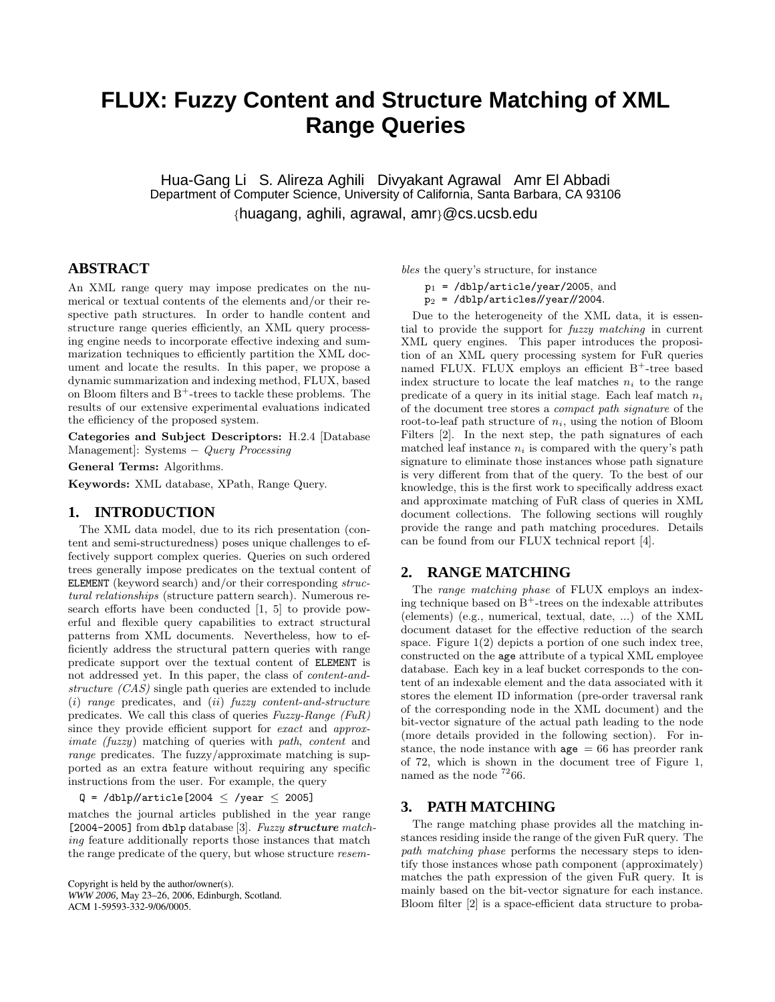# **FLUX: Fuzzy Content and Structure Matching of XML Range Queries**

Hua-Gang Li S. Alireza Aghili Divyakant Agrawal Amr El Abbadi Department of Computer Science, University of California, Santa Barbara, CA 93106 {huagang, aghili, agrawal, amr}@cs.ucsb.edu

## **ABSTRACT**

An XML range query may impose predicates on the numerical or textual contents of the elements and/or their respective path structures. In order to handle content and structure range queries efficiently, an XML query processing engine needs to incorporate effective indexing and summarization techniques to efficiently partition the XML document and locate the results. In this paper, we propose a dynamic summarization and indexing method, FLUX, based on Bloom filters and  $B^+$ -trees to tackle these problems. The results of our extensive experimental evaluations indicated the efficiency of the proposed system.

Categories and Subject Descriptors: H.2.4 [Database Management]: Systems − Query Processing

General Terms: Algorithms.

Keywords: XML database, XPath, Range Query.

### **1. INTRODUCTION**

The XML data model, due to its rich presentation (content and semi-structuredness) poses unique challenges to effectively support complex queries. Queries on such ordered trees generally impose predicates on the textual content of ELEMENT (keyword search) and/or their corresponding structural relationships (structure pattern search). Numerous research efforts have been conducted [1, 5] to provide powerful and flexible query capabilities to extract structural patterns from XML documents. Nevertheless, how to efficiently address the structural pattern queries with range predicate support over the textual content of ELEMENT is not addressed yet. In this paper, the class of content-andstructure (CAS) single path queries are extended to include (i) range predicates, and (ii) fuzzy content-and-structure predicates. We call this class of queries Fuzzy-Range (FuR) since they provide efficient support for exact and approximate (fuzzy) matching of queries with path, content and range predicates. The fuzzy/approximate matching is supported as an extra feature without requiring any specific instructions from the user. For example, the query

 $Q = /dblp / |article[2004 \leq /year \leq 2005]$ 

matches the journal articles published in the year range [2004-2005] from dblp database [3]. Fuzzy structure matching feature additionally reports those instances that match the range predicate of the query, but whose structure resem-

Copyright is held by the author/owner(s). *WWW 2006,* May 23–26, 2006, Edinburgh, Scotland. ACM 1-59593-332-9/06/0005.

bles the query's structure, for instance

- $p_1$  = /dblp/article/year/2005, and
- $p_2$  = /dblp/articles//year//2004.

Due to the heterogeneity of the XML data, it is essential to provide the support for fuzzy matching in current XML query engines. This paper introduces the proposition of an XML query processing system for FuR queries named FLUX. FLUX employs an efficient B<sup>+</sup>-tree based index structure to locate the leaf matches  $n_i$  to the range predicate of a query in its initial stage. Each leaf match  $n_i$ of the document tree stores a compact path signature of the root-to-leaf path structure of  $n_i$ , using the notion of Bloom Filters [2]. In the next step, the path signatures of each matched leaf instance  $n_i$  is compared with the query's path signature to eliminate those instances whose path signature is very different from that of the query. To the best of our knowledge, this is the first work to specifically address exact and approximate matching of FuR class of queries in XML document collections. The following sections will roughly provide the range and path matching procedures. Details can be found from our FLUX technical report [4].

## **2. RANGE MATCHING**

The range matching phase of FLUX employs an indexing technique based on  $B^+$ -trees on the indexable attributes (elements) (e.g., numerical, textual, date, ...) of the XML document dataset for the effective reduction of the search space. Figure 1(2) depicts a portion of one such index tree, constructed on the age attribute of a typical XML employee database. Each key in a leaf bucket corresponds to the content of an indexable element and the data associated with it stores the element ID information (pre-order traversal rank of the corresponding node in the XML document) and the bit-vector signature of the actual path leading to the node (more details provided in the following section). For instance, the node instance with  $\Delta \rho = 66$  has preorder rank of 72, which is shown in the document tree of Figure 1, named as the node  $7266$ .

### **3. PATH MATCHING**

The range matching phase provides all the matching instances residing inside the range of the given FuR query. The path matching phase performs the necessary steps to identify those instances whose path component (approximately) matches the path expression of the given FuR query. It is mainly based on the bit-vector signature for each instance. Bloom filter [2] is a space-efficient data structure to proba-